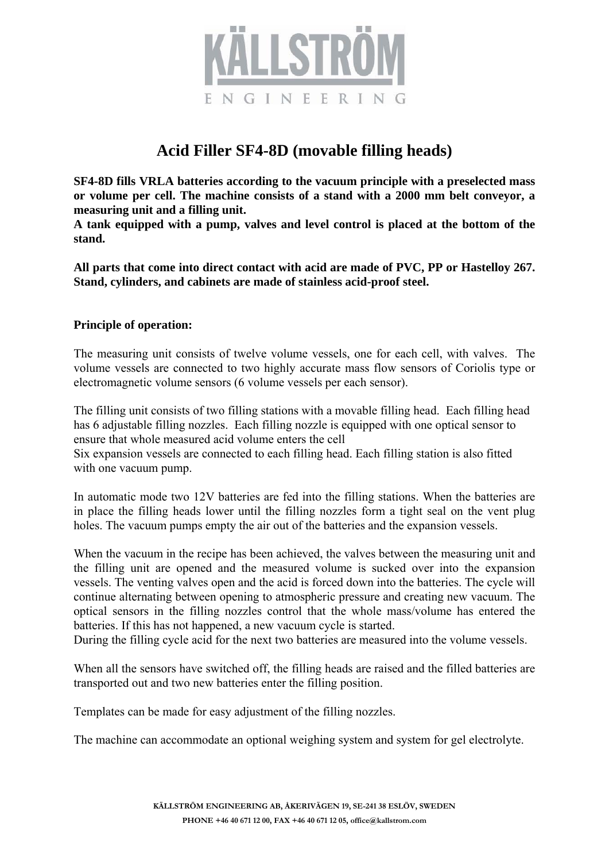

## **Acid Filler SF4-8D (movable filling heads)**

**SF4-8D fills VRLA batteries according to the vacuum principle with a preselected mass or volume per cell. The machine consists of a stand with a 2000 mm belt conveyor, a measuring unit and a filling unit.** 

**A tank equipped with a pump, valves and level control is placed at the bottom of the stand.** 

**All parts that come into direct contact with acid are made of PVC, PP or Hastelloy 267. Stand, cylinders, and cabinets are made of stainless acid-proof steel.** 

## **Principle of operation:**

The measuring unit consists of twelve volume vessels, one for each cell, with valves. The volume vessels are connected to two highly accurate mass flow sensors of Coriolis type or electromagnetic volume sensors (6 volume vessels per each sensor).

The filling unit consists of two filling stations with a movable filling head. Each filling head has 6 adjustable filling nozzles. Each filling nozzle is equipped with one optical sensor to ensure that whole measured acid volume enters the cell

Six expansion vessels are connected to each filling head. Each filling station is also fitted with one vacuum pump.

In automatic mode two 12V batteries are fed into the filling stations. When the batteries are in place the filling heads lower until the filling nozzles form a tight seal on the vent plug holes. The vacuum pumps empty the air out of the batteries and the expansion vessels.

When the vacuum in the recipe has been achieved, the valves between the measuring unit and the filling unit are opened and the measured volume is sucked over into the expansion vessels. The venting valves open and the acid is forced down into the batteries. The cycle will continue alternating between opening to atmospheric pressure and creating new vacuum. The optical sensors in the filling nozzles control that the whole mass/volume has entered the batteries. If this has not happened, a new vacuum cycle is started.

During the filling cycle acid for the next two batteries are measured into the volume vessels.

When all the sensors have switched off, the filling heads are raised and the filled batteries are transported out and two new batteries enter the filling position.

Templates can be made for easy adjustment of the filling nozzles.

The machine can accommodate an optional weighing system and system for gel electrolyte.